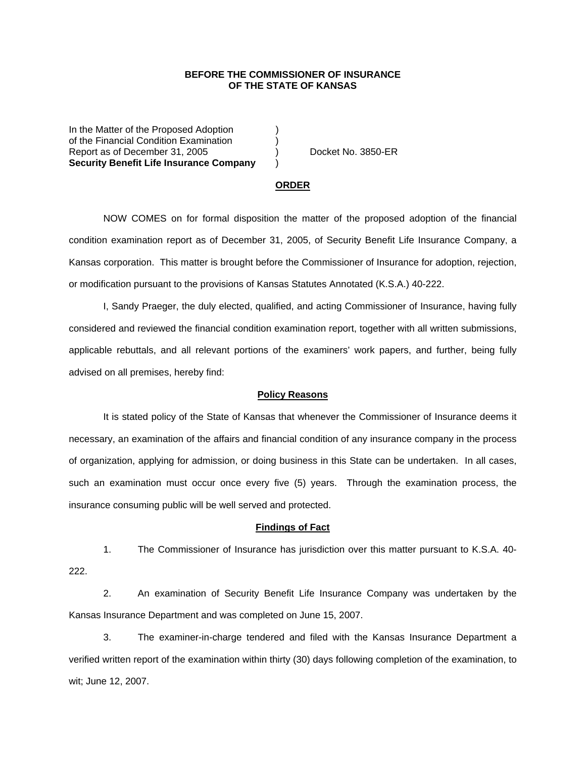### **BEFORE THE COMMISSIONER OF INSURANCE OF THE STATE OF KANSAS**

In the Matter of the Proposed Adoption of the Financial Condition Examination ) Report as of December 31, 2005 (and Contact Area Docket No. 3850-ER **Security Benefit Life Insurance Company** )

#### **ORDER**

 NOW COMES on for formal disposition the matter of the proposed adoption of the financial condition examination report as of December 31, 2005, of Security Benefit Life Insurance Company, a Kansas corporation. This matter is brought before the Commissioner of Insurance for adoption, rejection, or modification pursuant to the provisions of Kansas Statutes Annotated (K.S.A.) 40-222.

 I, Sandy Praeger, the duly elected, qualified, and acting Commissioner of Insurance, having fully considered and reviewed the financial condition examination report, together with all written submissions, applicable rebuttals, and all relevant portions of the examiners' work papers, and further, being fully advised on all premises, hereby find:

### **Policy Reasons**

 It is stated policy of the State of Kansas that whenever the Commissioner of Insurance deems it necessary, an examination of the affairs and financial condition of any insurance company in the process of organization, applying for admission, or doing business in this State can be undertaken. In all cases, such an examination must occur once every five (5) years. Through the examination process, the insurance consuming public will be well served and protected.

#### **Findings of Fact**

 1. The Commissioner of Insurance has jurisdiction over this matter pursuant to K.S.A. 40- 222.

2. An examination of Security Benefit Life Insurance Company was undertaken by the Kansas Insurance Department and was completed on June 15, 2007.

 3. The examiner-in-charge tendered and filed with the Kansas Insurance Department a verified written report of the examination within thirty (30) days following completion of the examination, to wit; June 12, 2007.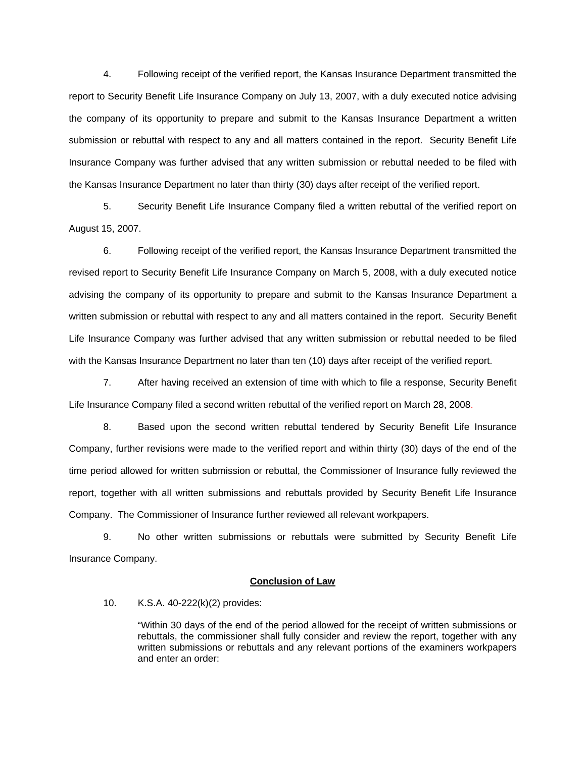4. Following receipt of the verified report, the Kansas Insurance Department transmitted the report to Security Benefit Life Insurance Company on July 13, 2007, with a duly executed notice advising the company of its opportunity to prepare and submit to the Kansas Insurance Department a written submission or rebuttal with respect to any and all matters contained in the report. Security Benefit Life Insurance Company was further advised that any written submission or rebuttal needed to be filed with the Kansas Insurance Department no later than thirty (30) days after receipt of the verified report.

 5. Security Benefit Life Insurance Company filed a written rebuttal of the verified report on August 15, 2007.

 6. Following receipt of the verified report, the Kansas Insurance Department transmitted the revised report to Security Benefit Life Insurance Company on March 5, 2008, with a duly executed notice advising the company of its opportunity to prepare and submit to the Kansas Insurance Department a written submission or rebuttal with respect to any and all matters contained in the report. Security Benefit Life Insurance Company was further advised that any written submission or rebuttal needed to be filed with the Kansas Insurance Department no later than ten (10) days after receipt of the verified report.

 7. After having received an extension of time with which to file a response, Security Benefit Life Insurance Company filed a second written rebuttal of the verified report on March 28, 2008.

8. Based upon the second written rebuttal tendered by Security Benefit Life Insurance Company, further revisions were made to the verified report and within thirty (30) days of the end of the time period allowed for written submission or rebuttal, the Commissioner of Insurance fully reviewed the report, together with all written submissions and rebuttals provided by Security Benefit Life Insurance Company. The Commissioner of Insurance further reviewed all relevant workpapers.

 9. No other written submissions or rebuttals were submitted by Security Benefit Life Insurance Company.

## **Conclusion of Law**

10. K.S.A. 40-222(k)(2) provides:

"Within 30 days of the end of the period allowed for the receipt of written submissions or rebuttals, the commissioner shall fully consider and review the report, together with any written submissions or rebuttals and any relevant portions of the examiners workpapers and enter an order: